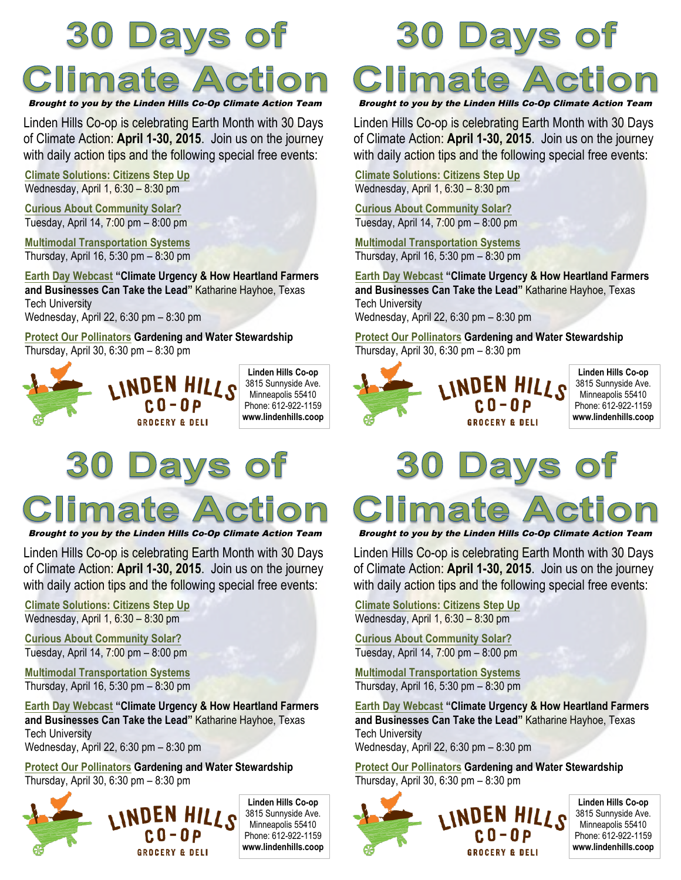# **30 Days of Climate Action**

Brought to you by the Linden Hills Co-Op Climate Action Team

Linden Hills Co-op is celebrating Earth Month with 30 Days of Climate Action: **April 1-30, 2015**. Join us on the journey with daily action tips and the following special free events:

**Climate Solutions: Citizens Step Up** Wednesday, April 1, 6:30 – 8:30 pm

**Curious About Community Solar?** Tuesday, April 14, 7:00 pm – 8:00 pm

**Multimodal Transportation Systems** Thursday, April 16, 5:30 pm – 8:30 pm

**Earth Day Webcast "Climate Urgency & How Heartland Farmers and Businesses Can Take the Lead"** Katharine Hayhoe, Texas Tech University Wednesday, April 22, 6:30 pm – 8:30 pm

**Protect Our Pollinators Gardening and Water Stewardship** Thursday, April 30, 6:30 pm – 8:30 pm



Days of **Climate Action** 

Brought to you by the Linden Hills Co-Op Climate Action Team

Linden Hills Co-op is celebrating Earth Month with 30 Days of Climate Action: **April 1-30, 2015**. Join us on the journey with daily action tips and the following special free events:

**Climate Solutions: Citizens Step Up** Wednesday, April 1, 6:30 – 8:30 pm

**Curious About Community Solar?** Tuesday, April 14, 7:00 pm – 8:00 pm

**Multimodal Transportation Systems** Thursday, April 16, 5:30 pm – 8:30 pm

**Earth Day Webcast "Climate Urgency & How Heartland Farmers and Businesses Can Take the Lead"** Katharine Hayhoe, Texas Tech University Wednesday, April 22, 6:30 pm – 8:30 pm

**Protect Our Pollinators Gardening and Water Stewardship** Thursday, April 30, 6:30 pm – 8:30 pm



**Linden Hills Co-op** 3815 Sunnyside Ave. Minneapolis 55410 Phone: 612-922-1159 **www.lindenhills.coop**

## **30 Days of** Climate Action Brought to you by the Linden Hills Co-Op Climate Action Team

Linden Hills Co-op is celebrating Earth Month with 30 Days of Climate Action: **April 1-30, 2015**. Join us on the journey with daily action tips and the following special free events:

**Climate Solutions: Citizens Step Up** Wednesday, April 1, 6:30 – 8:30 pm

**Curious About Community Solar?** Tuesday, April 14, 7:00 pm – 8:00 pm

**Multimodal Transportation Systems** Thursday, April 16, 5:30 pm – 8:30 pm

**Earth Day Webcast "Climate Urgency & How Heartland Farmers and Businesses Can Take the Lead"** Katharine Hayhoe, Texas Tech University

Wednesday, April 22, 6:30 pm – 8:30 pm

**Protect Our Pollinators Gardening and Water Stewardship** Thursday, April 30, 6:30 pm – 8:30 pm



**Linden Hills Co-op** 3815 Sunnyside Ave. Minneapolis 55410 Phone: 612-922-1159 **www.lindenhills.coop**

### OÍ ays

Climate Actio

Brought to you by the Linden Hills Co-Op Climate Action Team

Linden Hills Co-op is celebrating Earth Month with 30 Days of Climate Action: **April 1-30, 2015**. Join us on the journey with daily action tips and the following special free events:

**Climate Solutions: Citizens Step Up** Wednesday, April 1, 6:30 – 8:30 pm

**Curious About Community Solar?** Tuesday, April 14, 7:00 pm – 8:00 pm

**Multimodal Transportation Systems** Thursday, April 16, 5:30 pm – 8:30 pm

**Earth Day Webcast "Climate Urgency & How Heartland Farmers and Businesses Can Take the Lead"** Katharine Hayhoe, Texas Tech University Wednesday, April 22, 6:30 pm – 8:30 pm

**Protect Our Pollinators Gardening and Water Stewardship** Thursday, April 30, 6:30 pm – 8:30 pm



**Linden Hills Co-op** 3815 Sunnyside Ave. Minneapolis 55410 Phone: 612-922-1159 **www.lindenhills.coop**